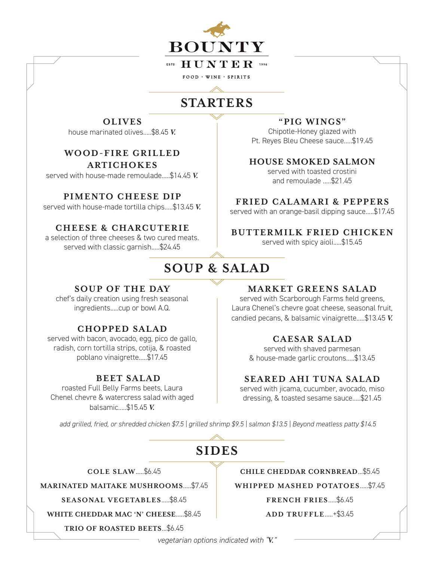

### **ESTE HUNTER** 1994

 $FOOD \cdot WINE \cdot SPIRITS$ 

# **STARTERS**

## **OLIVES**

house marinated olives.....\$8.45 *V.*

**WO OD-FIRE GRILLED ARTICHOKES**

served with house-made remoulade.....\$14.45 *V.*

### **PIMENTO CHEESE DIP**

served with house-made tortilla chips.....\$13.45 *V.*

## **CHEESE & CHARCU TERIE**

a selection of three cheeses & two cured meats. served with classic garnish.....\$24.45

## **SOUP & SALAD**

## **SOUP OF THE DAY**

chef's daily creation using fresh seasonal ingredients.....cup or bowl A.Q.

## **CHOPPED SALAD**

served with bacon, avocado, egg, pico de gallo, radish, corn tortilla strips, cotija, & roasted poblano vinaigrette.....\$17.45

## **BEET SALAD**

roasted Full Belly Farms beets, Laura Chenel chevre & watercress salad with aged balsamic.....\$15.45 *V.*

## **MARKET GREENS SALAD**

served with Scarborough Farms field greens, Laura Chenel's chevre goat cheese, seasonal fruit, candied pecans, & balsamic vinaigrette.....\$13.45 *V.*

## **CAESAR SALAD**

served with shaved parmesan & house-made garlic croutons.....\$13.45

## **SEARED AHI TUNA SALAD**

served with jicama, cucumber, avocado, miso dressing, & toasted sesame sauce.....\$21.45

*add grilled, fried, or shredded chicken \$7.5 | grilled shrimp \$9.5 | salmon \$13.5 | Beyond meatless patty \$14.5* 

# **SIDES**

**COLE SLAW**.....\$6.45

**MARINATED MAITAKE MUSHROOMS**.....\$7.45

**SEASONAL VEGETABLES**.....\$8.45

**WHITE CHEDDAR MAC 'N' CHEESE**.....\$8.45

**TRIO OF ROASTED BEETS**...\$6.45

### **CHILE CHEDDAR CORNBREAD**...\$5.45

**WHIPPED MASHED POTATOES**.....\$7.45

**FRENCH FRIES**.....\$6.45

**ADD TRUFFLE**.....+\$3.45

*vegetarian options indicated with "V."*

#### **"PIG WINGS"**  Chipotle-Honey glazed with

Pt. Reyes Bleu Cheese sauce.....\$19.45

**HOUSE SMOKED SALMON**

served with toasted crostini and remoulade .....\$21.45

### **FRIED CALAMARI & PEPPERS**

served with an orange-basil dipping sauce.....\$17.45

## **BUTTERMILK FRIED CHICKEN**

served with spicy aioli.....\$15.45